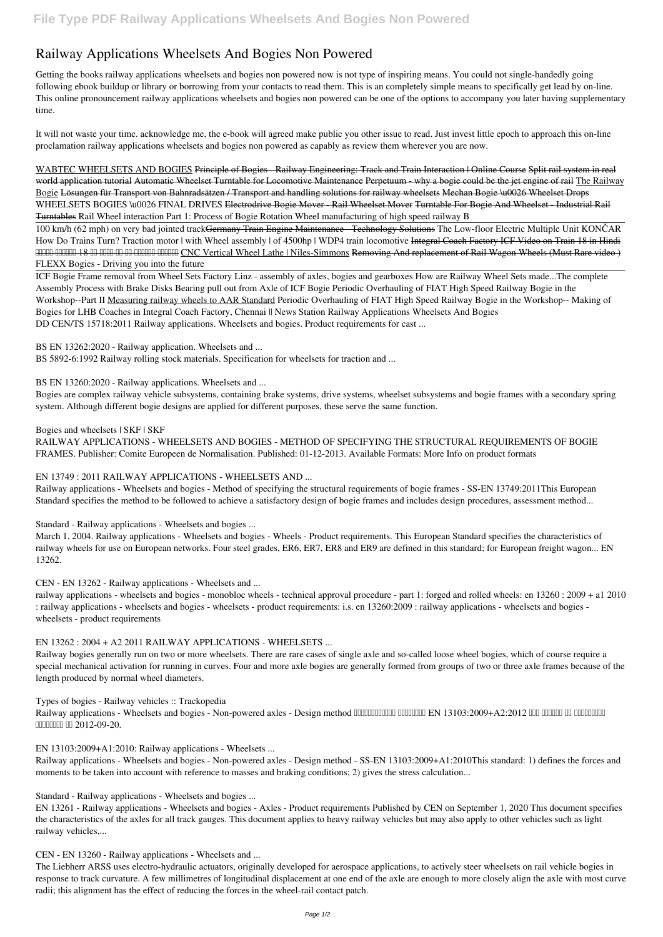# **Railway Applications Wheelsets And Bogies Non Powered**

Getting the books **railway applications wheelsets and bogies non powered** now is not type of inspiring means. You could not single-handedly going following ebook buildup or library or borrowing from your contacts to read them. This is an completely simple means to specifically get lead by on-line. This online pronouncement railway applications wheelsets and bogies non powered can be one of the options to accompany you later having supplementary time.

It will not waste your time. acknowledge me, the e-book will agreed make public you other issue to read. Just invest little epoch to approach this on-line proclamation **railway applications wheelsets and bogies non powered** as capably as review them wherever you are now.

WABTEC WHEELSETS AND BOGIES Principle of Bogies Railway Engineering: Track and Train Interaction | Online Course Split rail system in real world application tutorial Automatic Wheelset Turntable for Locomotive Maintenance Perpetuum - why a bogie could be the jet engine of rail The Railway Bogie Lösungen für Transport von Bahnradsätzen / Transport and handling solutions for railway wheelsets Mechan Bogie \u0026 Wheelset Drops WHEELSETS BOGIES \u0026 FINAL DRIVES Electrodrive Bogie Mover - Rail Wheelset Mover Turntable For Bogie And Wheelset - Industrial Rail Turntables *Rail Wheel interaction Part 1: Process of Bogie Rotation* **Wheel manufacturing of high speed railway B**

100 km/h (62 mph) on very bad jointed trackGermany Train Engine Maintenance - Technology Solutions *The Low-floor Electric Multiple Unit KONČAR* How Do Trains Turn? Traction motor | with Wheel assembly | of 4500hp | WDP4 train locomotive Integral Coach Factory ICF Video on Train 18 in Hindi HEER ERRIES 18 AND IN CHARGE COMPUTER COMPUTERS INTEREDUCED CONTROLLER CHARGE CONTROLLER AND THE CONTROLLER SUBSTITUTION OF RAIL Wagon Wheels (Must Rare video ) FLEXX Bogies - Driving you into the future

ICF Bogie Frame removal from Wheel Sets Factory Linz - assembly of axles, bogies and gearboxes **How are Railway Wheel Sets made...The complete Assembly Process with Brake Disks** *Bearing pull out from Axle of ICF Bogie Periodic Overhauling of FIAT High Speed Railway Bogie in the Workshop--Part II* Measuring railway wheels to AAR Standard *Periodic Overhauling of FIAT High Speed Railway Bogie in the Workshop--* **Making of Bogies for LHB Coaches in Integral Coach Factory, Chennai || News Station** *Railway Applications Wheelsets And Bogies* DD CEN/TS 15718:2011 Railway applications. Wheelsets and bogies. Product requirements for cast ...

*BS EN 13262:2020 - Railway application. Wheelsets and ...*

BS 5892-6:1992 Railway rolling stock materials. Specification for wheelsets for traction and ...

*BS EN 13260:2020 - Railway applications. Wheelsets and ...*

Bogies are complex railway vehicle subsystems, containing brake systems, drive systems, wheelset subsystems and bogie frames with a secondary spring system. Although different bogie designs are applied for different purposes, these serve the same function.

*Bogies and wheelsets | SKF | SKF* RAILWAY APPLICATIONS - WHEELSETS AND BOGIES - METHOD OF SPECIFYING THE STRUCTURAL REQUIREMENTS OF BOGIE FRAMES. Publisher: Comite Europeen de Normalisation. Published: 01-12-2013. Available Formats: More Info on product formats

## *EN 13749 : 2011 RAILWAY APPLICATIONS - WHEELSETS AND ...*

Railway applications - Wheelsets and bogies - Method of specifying the structural requirements of bogie frames - SS-EN 13749:2011This European Standard specifies the method to be followed to achieve a satisfactory design of bogie frames and includes design procedures, assessment method...

*Standard - Railway applications - Wheelsets and bogies ...*

March 1, 2004. Railway applications - Wheelsets and bogies - Wheels - Product requirements. This European Standard specifies the characteristics of railway wheels for use on European networks. Four steel grades, ER6, ER7, ER8 and ER9 are defined in this standard; for European freight wagon... EN 13262.

*CEN - EN 13262 - Railway applications - Wheelsets and ...*

railway applications - wheelsets and bogies - monobloc wheels - technical approval procedure - part 1: forged and rolled wheels: en 13260 : 2009 + a1 2010 : railway applications - wheelsets and bogies - wheelsets - product requirements: i.s. en 13260:2009 : railway applications - wheelsets and bogies wheelsets - product requirements

*EN 13262 : 2004 + A2 2011 RAILWAY APPLICATIONS - WHEELSETS ...*

Railway bogies generally run on two or more wheelsets. There are rare cases of single axle and so-called loose wheel bogies, which of course require a special mechanical activation for running in curves. Four and more axle bogies are generally formed from groups of two or three axle frames because of the length produced by normal wheel diameters.

*Types of bogies - Railway vehicles :: Trackopedia*

## Railway applications - Wheelsets and bogies - Non-powered axles - Design method Европейският стандарт EN 13103:2009+A2:2012 има статут на български стандарт от 2012-09-20.

#### *EN 13103:2009+A1:2010: Railway applications - Wheelsets ...*

Railway applications - Wheelsets and bogies - Non-powered axles - Design method - SS-EN 13103:2009+A1:2010This standard: 1) defines the forces and moments to be taken into account with reference to masses and braking conditions; 2) gives the stress calculation...

#### *Standard - Railway applications - Wheelsets and bogies ...*

EN 13261 - Railway applications - Wheelsets and bogies - Axles - Product requirements Published by CEN on September 1, 2020 This document specifies the characteristics of the axles for all track gauges. This document applies to heavy railway vehicles but may also apply to other vehicles such as light railway vehicles,...

#### *CEN - EN 13260 - Railway applications - Wheelsets and ...*

The Liebherr ARSS uses electro-hydraulic actuators, originally developed for aerospace applications, to actively steer wheelsets on rail vehicle bogies in response to track curvature. A few millimetres of longitudinal displacement at one end of the axle are enough to more closely align the axle with most curve radii; this alignment has the effect of reducing the forces in the wheel-rail contact patch.